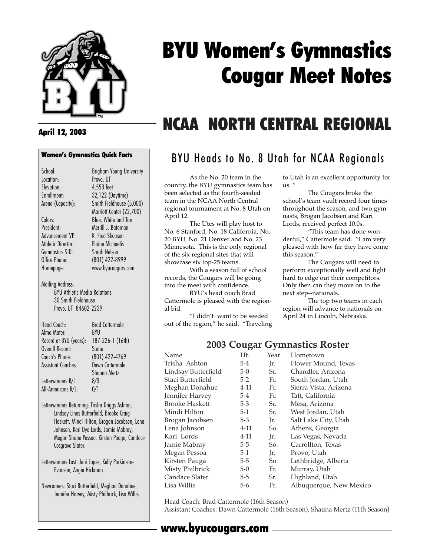

# BYU Women's Gymnastics Cougar Meet Notes

### April 12, 2003

## Women's Gymnastics Quick Facts

Marriott Center (22,700)

Office Phone: (801) 422-8999

School: Brigham Young University Location: Provo, UT Elevation: 4,553 feet Enrollment: 32,122 (Daytime) Arena (Capacity): Smith Fieldhouse (5,000)

Colors: Blue, White and Tan President: Merrill J. Bateman Advancement VP: K. Fred Skousen Athletic Director: Gymnastics SID: Sarah Nelson<br>Office Phone: (801) 422-89 Homepage: www.byucougars.com

Mailing Address: BYU Athletic Media Relations 30 Smith Fieldhouse Provo, UT 84602-2239

| Head Coach:               | <b>Brad Cattermole</b> |
|---------------------------|------------------------|
| Alma Mater                | <b>BYU</b>             |
| Record at BYU (years):    | 187-226-1 (16th)       |
| Overall Record:           | Same                   |
| Coach's Phone:            | (801) 422-4769         |
| <b>Assistant Coaches:</b> | Dawn Cattermole        |
|                           | Shauna Mertz           |
| Letterwinners R/L:        | 8/3                    |
| All-Americans R/L:        | 0/1                    |

Letterwinners Returning: Trisha Driggs Ashton, Lindsay Lines Butterfield, Brooke Craig Haskett, Mindi Hilton, Brogan Jacobsen, Lena Johnson, Kari Dye Lords, Jamie Mabray, Megan Shupe Pessoa, Kirsten Pauga, Candace Cosgrave Slater.

Letterwinners Lost: Jeni Lopez, Kelly Parkinson-Evanson, Angie Hickman

Newcomers: Staci Butterfield, Meghan Donahue, Jennifer Harvey, Misty Philbrick, Lisa Willis.

## NCAA NORTH CENTRAL REGIONAL

## BYU Heads to No. 8 Utah for NCAA Regionals

As the No. 20 team in the country, the BYU gymnastics team has been selected as the fourth-seeded team in the NCAA North Central regional tournament at No. 8 Utah on April 12.

The Utes will play host to No. 6 Stanford, No. 18 California, No. 20 BYU, No. 21 Denver and No. 23 Minnesota. This is the only regional of the six regional sites that will showcase six top-25 teams.

With a season full of school records, the Cougars will be going into the meet with confidence.

BYU's head coach Brad Cattermole is pleased with the regional bid.

"I didn't want to be seeded out of the region," he said. "Traveling to Utah is an excellent opportunity for us. "

The Cougars broke the school's team vault record four times throughout the season, and two gymnasts, Brogan Jacobsen and Kari Lords, received perfect 10.0s.

"This team has done wonderful," Cattermole said. "I am very pleased with how far they have come this season."

The Cougars will need to perform exceptionally well and fight hard to edge out their competitors. Only then can they move on to the next step--nationals.

The top two teams in each region will advance to nationals on April 24 in Lincoln, Nebraska.

### **2003 Cougar Gymnastics Roster**

| Name                  | Ht.      | Year | Hometown                |
|-----------------------|----------|------|-------------------------|
| Trisha Ashton         | $5 - 4$  | Ir.  | Flower Mound, Texas     |
| Lindsay Butterfield   | $5-0$    | Sr.  | Chandler, Arizona       |
| Staci Butterfield     | $5 - 2$  | Fr.  | South Jordan, Utah      |
| Meghan Donahue        | $4 - 11$ | Fr.  | Sierra Vista, Arizona   |
| Jennifer Harvey       | 5-4      | Fr.  | Taft, California        |
| <b>Brooke Haskett</b> | $5 - 3$  | Sr.  | Mesa, Arizona           |
| Mindi Hilton          | $5-1$    | Sr.  | West Jordan, Utah       |
| Brogan Jacobsen       | 5-3      | Jr.  | Salt Lake City, Utah    |
| Lena Johnson          | $4 - 11$ | So.  | Athens, Georgia         |
| Kari Lords            | 4-11     | Jr.  | Las Vegas, Nevada       |
| Jamie Mabray          | 5-5      | So.  | Carrollton, Texas       |
| Megan Pessoa          | $5-1$    | Jr.  | Provo, Utah             |
| Kirsten Pauga         | 5-5      | So.  | Lethbridge, Alberta     |
| Misty Philbrick       | $5-0$    | Fr.  | Murray, Utah            |
| Candace Slater        | $5 - 5$  | Sr.  | Highland, Utah          |
| Lisa Willis           | $5-6$    | Fr.  | Albuquerque, New Mexico |

Head Coach: Brad Cattermole (16th Season) Assistant Coaches: Dawn Cattermole (16th Season), Shauna Mertz (11th Season)

### www.byucougars.com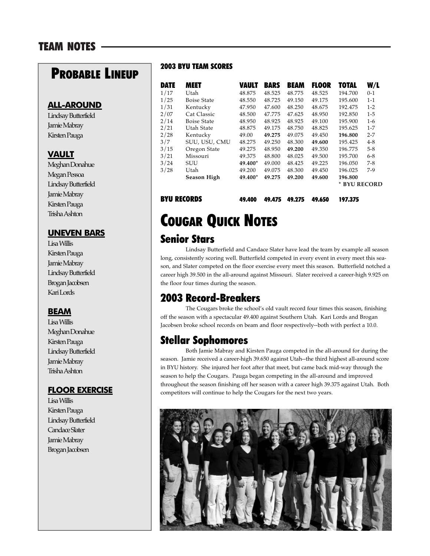## **PROBABLE LINEUP**

### **ALL-AROUND**

Lindsay Butterfield Jamie Mabray Kirsten Pauga

### **VAULT**

Meghan Donahue Megan Pessoa Lindsay Butterfield Jamie Mabray Kirsten Pauga Trisha Ashton

### **UNEVEN BARS**

Lisa Willis Kirsten Pauga Jamie Mabray Lindsay Butterfield Brogan Jacobsen Kari Lords

### **BEAM**

Lisa Willis Meghan Donahue Kirsten Pauga Lindsay Butterfield Jamie Mabray Trisha Ashton

### **FLOOR EXERCISE**

Lisa Willis Kirsten Pauga Lindsay Butterfield Candace Slater Jamie Mabray Brogan Jacobsen

### 2003 BYU TEAM SCORES

| <b>DATE</b> | MEET               | VAULT   | <b>BARS</b> | <b>BEAM</b> | <b>FLOOR</b> | TOTAL                   | W/L     |
|-------------|--------------------|---------|-------------|-------------|--------------|-------------------------|---------|
| 1/17        | Utah               | 48.875  | 48.525      | 48.775      | 48.525       | 194.700                 | $0 - 1$ |
| 1/25        | <b>Boise State</b> | 48.550  | 48.725      | 49.150      | 49.175       | 195.600                 | $1 - 1$ |
| 1/31        | Kentucky           | 47.950  | 47.600      | 48.250      | 48.675       | 192.475                 | $1 - 2$ |
| 2/07        | Cat Classic        | 48.500  | 47.775      | 47.625      | 48.950       | 192.850                 | $1-5$   |
| 2/14        | <b>Boise State</b> | 48.950  | 48.925      | 48.925      | 49.100       | 195.900                 | $1-6$   |
| 2/21        | Utah State         | 48.875  | 49.175      | 48.750      | 48.825       | 195.625                 | $1 - 7$ |
| 2/28        | Kentucky           | 49.00   | 49.275      | 49.075      | 49.450       | 196.800                 | $2 - 7$ |
| 3/7         | SUU, USU, CMU      | 48.275  | 49.250      | 48.300      | 49.600       | 195.425                 | $4 - 8$ |
| 3/15        | Oregon State       | 49.275  | 48.950      | 49.200      | 49.350       | 196.775                 | $5 - 8$ |
| 3/21        | Missouri           | 49.375  | 48.800      | 48.025      | 49.500       | 195.700                 | $6 - 8$ |
| 3/24        | SUU                | 49.400* | 49.000      | 48.425      | 49.225       | 196.050                 | $7 - 8$ |
| 3/28        | Utah               | 49.200  | 49.075      | 48.300      | 49.450       | 196.025                 | $7-9$   |
|             | Season High        | 49.400* | 49.275      | 49.200      | 49.600       | 196.800<br>* BYU RECORD |         |

BYU RECORDS 49.400 49.475 49.275 49.650 197.375

## COUGAR QUICK NOTES

### Senior Stars

Lindsay Butterfield and Candace Slater have lead the team by example all season long, consistently scoring well. Butterfield competed in every event in every meet this season, and Slater competed on the floor exercise every meet this season. Butterfield notched a career high 39.500 in the all-around against Missouri. Slater received a career-high 9.925 on the floor four times during the season.

## 2003 Record-Breakers

The Cougars broke the school's old vault record four times this season, finishing off the season with a spectacular 49.400 against Southern Utah. Kari Lords and Brogan Jacobsen broke school records on beam and floor respectively--both with perfect a 10.0.

### Stellar Sophomores

Both Jamie Mabray and Kirsten Pauga competed in the all-around for during the season. Jamie received a career-high 39.650 against Utah--the third highest all-around score in BYU history. She injured her foot after that meet, but came back mid-way through the season to help the Cougars. Pauga began competing in the all-around and improved throughout the season finishing off her season with a career high 39.375 against Utah. Both competitors will continue to help the Cougars for the next two years.

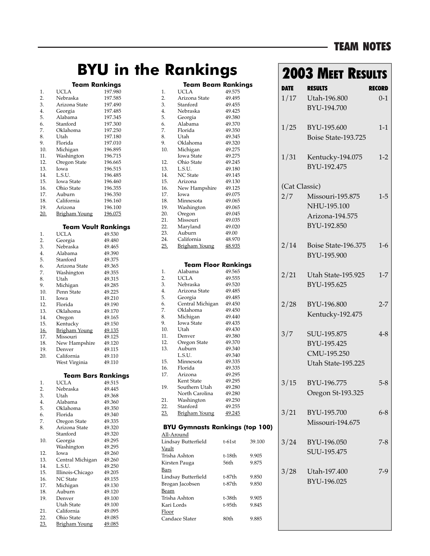### TEAM NOTES

## **BYU in the Rankings**

#### **Team Rankings**

| 1.  | UCLA                       | 197.980 |
|-----|----------------------------|---------|
| 2.  | Nebraska                   | 197.585 |
| 3.  | Arizona State              | 197.490 |
| 4.  | Georgia                    | 197.485 |
| 5.  | Alabama                    | 197.345 |
| 6.  | Stanford                   | 197.300 |
| 7.  | Oklahoma                   | 197.250 |
| 8.  | Utah                       | 197.180 |
| 9.  | Florida                    | 197.010 |
| 10. | Michigan                   | 196.895 |
| 11. | Washington                 | 196.715 |
| 12. | Oregon State               | 196.665 |
| 13. | Iowa                       | 196.515 |
| 14. | L.S.U.                     | 196.485 |
| 15. | Iowa State                 | 196.460 |
| 16. | Ohio State                 | 196.355 |
| 17. | Auburn                     | 196.350 |
| 18. | California                 | 196.160 |
| 19. | Arizona                    | 196.100 |
| 20. | <b>Brigham Young</b>       | 196.075 |
|     | <b>Team Vault Rankings</b> |         |
| 1.  | <b>UCLA</b>                | 49.530  |
|     |                            |         |

| 2.         | Georgia              | 49.480 |
|------------|----------------------|--------|
| 3.         | Nebraska             | 49.465 |
| 4.         | Alabama              | 49.390 |
| 5.         | Stanford             | 49.375 |
| 6.         | Arizona State        | 49.365 |
| 7.         | Washington           | 49.355 |
| 8.         | Utah                 | 49.315 |
| 9.         | Michigan             | 49.285 |
| 10.        | Penn State           | 49.225 |
| 11.        | Iowa                 | 49.210 |
| 12.        | Florida              | 49.190 |
| 13.        | Oklahoma             | 49.170 |
| 14.        | Oregon               | 49.165 |
| 15.        | Kentucky             | 49.150 |
| <u>16.</u> | <b>Brigham Young</b> | 49.135 |
| 17.        | Missouri             | 49.125 |
| 18.        | New Hampshire        | 49.120 |
| 19.        | Denver               | 49.115 |
| 20.        | California           | 49.110 |
|            | West Virginia        | 49.110 |
|            |                      |        |

#### **Team Bars Rankings**

| 1.  | <b>UCLA</b>          | 49.515 |
|-----|----------------------|--------|
| 2.  | Nebraska             | 49.445 |
| 3.  | Utah                 | 49.368 |
| 4.  | Alabama              | 49.360 |
| 5.  | Oklahoma             | 49.350 |
| 6.  | Florida              | 49.340 |
| 7.  | Oregon State         | 49.335 |
| 8.  | Arizona State        | 49.320 |
|     | Stanford             | 49.320 |
| 10. | Georgia              | 49.295 |
|     | Washington           | 49.295 |
| 12. | Iowa                 | 49.260 |
| 13. | Central Michigan     | 49.260 |
| 14. | L.S.U.               | 49.250 |
| 15. | Illinois-Chicago     | 49.205 |
| 16. | <b>NC</b> State      | 49.155 |
| 17. | Michigan             | 49.130 |
| 18. | Auburn               | 49.120 |
| 19. | Denver               | 49.100 |
|     | Utah State           | 49.100 |
| 21. | California           | 49.095 |
| 22. | Ohio State           | 49.085 |
| 23. | <b>Brigham Young</b> | 49.085 |

|              | Team Beam Rankings                     |                  |        |
|--------------|----------------------------------------|------------------|--------|
| 1.           | UCLA                                   | 49.575           |        |
| 2.           | Arizona State                          | 49.495           |        |
| 3.           | Stanford                               | 49.455           |        |
| 4.           | Nebraska                               | 49.425           |        |
| 5.           | Georgia                                | 49.380           |        |
| 6.           | Alabama                                | 49.370           |        |
| 7.           | Florida                                | 49.350           |        |
| 8.           | Utah                                   | 49.345           |        |
| 9.           | Oklahoma                               | 49.320           |        |
| 10.          | Michigan                               | 49.275           |        |
|              | Iowa State                             | 49.275           |        |
| 12.          | Ohio State                             | 49.245           |        |
| 13.          | L.S.U.                                 | 49.180           |        |
| 14.          | NC State                               | 49.145           |        |
| 15.          | Arizona                                | 49.130           |        |
| 16.          | New Hampshire                          | 49.125           |        |
| 17.          | Iowa                                   | 49.075           |        |
| 18.          | Minnesota                              | 49.065           |        |
| 19.          | Washington                             | 49.065           |        |
| 20.          | Oregon                                 | 49.045           |        |
| 21.          | Missouri                               | 49.035           |        |
| 22.          | Maryland                               | 49.020           |        |
| 23.          | Auburn                                 | 49.00            |        |
| 24.          | California                             | 48.970           |        |
| 25.          | <u>Brigham Young</u>                   | <u>48.935</u>    |        |
|              |                                        |                  |        |
|              |                                        |                  |        |
|              | <b>Team Floor Rankings</b>             |                  |        |
| 1.           | Alabama                                | 49.565           |        |
| 2.           | UCLA                                   | 49.555           |        |
| 3.           | Nebraska                               | 49.520           |        |
| 4.           | Arizona State                          | 49.485           |        |
| 5.           | Georgia                                | 49.485           |        |
| 6.           | Central Michigan                       | 49.450           |        |
| 7.           | Oklahoma                               | 49.450           |        |
| 8.           | Michigan                               | 49.440           |        |
| 9.           | Iowa State                             | 49.435           |        |
| 10.          | Utah                                   | 49.430           |        |
| 11.          | Denver                                 | 49.380           |        |
| 12.          | Oregon State<br>Auburn                 | 49.370           |        |
| 13.          |                                        | 49.340           |        |
| 15.          | L.S.U.                                 | 49.340<br>49.335 |        |
| 16.          | Minnesota<br>Florida                   |                  |        |
| 17.          | Arizona                                | 49.335<br>49.295 |        |
|              | Kent State                             | 49.295           |        |
| 19.          | Southern Utah                          | 49.280           |        |
|              | North Carolina                         | 49.280           |        |
| 21.          | Washington                             | 49.250           |        |
| 22.          | Stanford                               | 49.255           |        |
| <u>23.</u>   | <b>Brigham Young</b>                   | 49.245           |        |
|              |                                        |                  |        |
|              | <b>BYU Gymnasts Rankings (top 100)</b> |                  |        |
|              | <u> All-Around</u>                     |                  |        |
|              | Lindsay Butterfield                    | t-61st           | 39.100 |
| <u>Vault</u> |                                        |                  |        |
|              | Trisha Ashton                          | t-18th           | 9.905  |
|              |                                        | 56th             |        |
|              | Kirsten Pauga                          |                  | 9.875  |
| <u>Bars</u>  |                                        |                  |        |
|              | Lindsay Butterfield                    | t-87th           | 9.850  |
|              | Brogan Jacobsen                        | t-87th           | 9.850  |
| <u>Beam</u>  |                                        |                  |        |
|              | Trisha Ashton                          | t-38th           | 9.905  |
| Kari Lords   |                                        | t-95th           | 9.845  |
| <u>Floor</u> |                                        |                  |        |
|              | Candace Slater                         | 80th             | 9.885  |

## **2003 MEET RESULTS**

| <b>DATE</b>          | <b>RESULTS</b>                                                    | RECORD  |
|----------------------|-------------------------------------------------------------------|---------|
|                      | 1/17 Utah-196.800<br>BYU-194.700                                  | $0 - 1$ |
| 1/25                 | BYU-195.600<br>Boise State-193.725                                | $1 - 1$ |
| 1/31                 | Kentucky-194.075<br>BYU-192.475                                   | $1 - 2$ |
| (Cat Classic)<br>2/7 | Missouri-195.875<br>NHU-195.100<br>Arizona-194.575<br>BYU-192.850 | $1-5$   |
| 2/14                 | Boise State-196.375<br>BYU-195.900                                | $1-6$   |
| 2/21                 | Utah State-195.925<br>BYU-195.625                                 | $1 - 7$ |
| 2/28                 | BYU-196.800<br>Kentucky-192.475                                   | $2 - 7$ |
| 3/7                  | SUU-195.875<br>BYU-195.425<br>CMU-195.250<br>Utah State-195.225   | $4 - 8$ |
| 3/15                 | BYU-196.775<br>Oregon St-193.325                                  | $5 - 8$ |
| 3/21                 | BYU-195.700<br>Missouri-194.675                                   | $6 - 8$ |
| 3/24                 | BYU-196.050<br>SUU-195.475                                        | 7-8     |
| 3/28                 | Utah-197.400<br>BYU-196.025                                       | $7-9$   |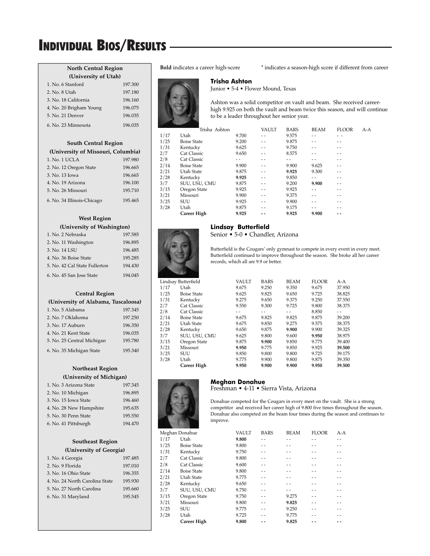#### **North Central Region (University of Utah)**

| (University of Orall)   |         |
|-------------------------|---------|
| 1. No. 6 Stanford       | 197.300 |
| 2. No. 8 Utah           | 197.180 |
| 3. No. 18 California    | 196.160 |
| 4. No. 20 Brigham Young | 196.075 |
| 5. No. 21 Denver        | 196.035 |
| 6. No. 23 Minnesota     | 196.035 |

#### **South Central Region (University of Missouri, Columbia)**

| 197.980 |
|---------|
| 196.665 |
| 196.665 |
| 196.100 |
| 195.710 |
| 195.465 |
|         |

#### **West Region (University of Washington)**

| 1. No. 2 Nebraska             | 197.585 |
|-------------------------------|---------|
| 2. No. 11 Washington          | 196.895 |
| 3. No. 14 LSU                 | 196.485 |
| 4. No. 36 Boise State         | 195.285 |
| 5. No. 42 Cal State Fullerton | 194.430 |
| 6. No. 45 San Jose State      | 194.045 |

#### **Central Region**

### **(University of Alabama, Tuscaloosa)**

| 1. No. 5 Alabama           | 197.345 |
|----------------------------|---------|
| 2. No. 7 Oklahoma          | 197.250 |
| 3. No. 17 Auburn           | 196.350 |
| 4. No. 21 Kent State       | 196.035 |
| 5. No. 25 Central Michigan | 195.780 |
| 6. No. 35 Michigan State   | 195.340 |

### **Northeast Region**

#### **(University of Michigan)**

| 1. No. 3 Arizona State  | 197.345 |
|-------------------------|---------|
| 2. No. 10 Michigan      | 196.895 |
| 3. No. 15 Iowa State    | 196.460 |
| 4. No. 28 New Hampshire | 195.635 |
| 5. No. 30 Penn State    | 195.550 |
| 6. No. 41 Pittsburgh    | 194.470 |

#### **Southeast Region (University of Georgia)**

| 1. No. 4 Georgia               | 197.485 |
|--------------------------------|---------|
| 2. No. 9 Florida               | 197.010 |
| 3. No. 16 Ohio State           | 196.355 |
| 4. No. 24 North Carolina State | 195.930 |
| 5. No. 27 North Carolina       | 195.660 |
| 6. No. 31 Maryland             | 195.545 |
|                                |         |

**Bold** indicates a career high-score \* indicates a season-high score if different from career

#### **Trisha Ashton**

Junior • 5-4 • Flower Mound, Texas

Ashton was a solid competitor on vault and beam. She received careerhigh 9.925 on both the vault and beam twice this season, and will continue to be a leader throughout her senior year.

|      | Trisha Ashton      |       | <b>VAULT</b> | <b>BARS</b> | <b>BEAM</b> | <b>FLOOR</b> | $A-A$ |
|------|--------------------|-------|--------------|-------------|-------------|--------------|-------|
| 1/17 | Utah               | 9.700 | $ -$         | 9.575       |             |              |       |
| 1/25 | <b>Boise State</b> | 9.200 | - -          | 9.875       |             |              |       |
| 1/31 | Kentucky           | 9.625 |              | 9.750       |             |              |       |
| 2/7  | Cat Classic        | 9.650 | $ -$         | 8.575       |             |              |       |
| 2/8  | Cat Classic        |       |              |             |             |              |       |
| 2/14 | <b>Boise State</b> | 9.900 |              | 9.900       | 9.625       |              |       |
| 2/21 | Utah State         | 9.875 | - -          | 9.925       | 9.300       |              |       |
| 2/28 | Kentucky           | 9.925 | - -          | 9.850       |             |              |       |
| 3/7  | SUU, USU, CMU      | 9.875 | $ -$         | 9.200       | 9.900       | - -          |       |
| 3/15 | Oregon State       | 9.925 | $ -$         | 9.925       |             |              |       |
| 3/21 | Missouri           | 9.900 | $ -$         | 9.375       |             |              |       |
| 3/25 | <b>SUU</b>         | 9.925 |              | 9.900       |             |              |       |
| 3/28 | Utah               | 9.875 |              | 9.175       |             |              |       |
|      | <b>Career High</b> | 9.925 |              | 9.925       | 9.900       |              |       |
|      |                    |       |              |             |             |              |       |



#### **Lindsay Butterfield**

Senior • 5-0 • Chandler, Arizona

Butterfield is the Cougars' only gymnast to compete in every event in every meet. Butterfield continued to improve throughout the season. She broke all her career records, which all are 9.9 or better.

|      | Lindsay Butterfield | <b>VAULT</b> | <b>BARS</b> | <b>BEAM</b> | <b>FLOOR</b> | $A-A$  |
|------|---------------------|--------------|-------------|-------------|--------------|--------|
| 1/17 | Utah                | 9.675        | 9.250       | 9.350       | 9.675        | 37.950 |
| 1/25 | <b>Boise State</b>  | 9.625        | 9.825       | 9.650       | 9.725        | 38.825 |
| 1/31 | Kentucky            | 9.275        | 9.650       | 9.375       | 9.250        | 37.550 |
| 2/7  | Cat Classic         | 9.550        | 9.300       | 9.725       | 9.800        | 38.375 |
| 2/8  | Cat Classic         |              |             |             | 8.850        |        |
| 2/14 | <b>Boise State</b>  | 9.675        | 9.825       | 9.825       | 9.875        | 39.200 |
| 2/21 | Utah State          | 9.675        | 9.850       | 9.275       | 9.575        | 38.375 |
| 2/28 | Kentucky            | 9.650        | 9.875       | 9.900       | 9.900        | 39.325 |
| 3/7  | SUU, USU, CMU       | 9.625        | 9.800       | 9.600       | 9.950        | 38.975 |
| 3/15 | Oregon State        | 9.875        | 9.900       | 9.850       | 9.775        | 39.400 |
| 3/21 | Missouri            | 9.950        | 9.775       | 9.850       | 9.925        | 39.500 |
| 3/25 | SUU                 | 9.850        | 9.800       | 9.800       | 9.725        | 39.175 |
| 3/28 | Utah                | 9.775        | 9.900       | 9.800       | 9.875        | 39.350 |
|      | <b>Career High</b>  | 9.950        | 9.900       | 9.900       | 9.950        | 39.500 |
|      |                     |              |             |             |              |        |



Freshman • 4-11 • Sierra Vista, Arizona

Donahue competed for the Cougars in every meet on the vault. She is a strong competitor and received her career high of 9.800 five times throughout the season. Donahue also competed on the beam four times during the season and continues to improve.

| Meghan Donahue     | VAULT | <b>BARS</b> | <b>BEAM</b> | <b>FLOOR</b> | $A-A$ |
|--------------------|-------|-------------|-------------|--------------|-------|
| Utah               | 9.800 |             |             |              |       |
| <b>Boise State</b> | 9.800 |             |             |              |       |
| Kentucky           | 9.750 |             |             |              |       |
| Cat Classic        | 9.800 |             |             |              |       |
| Cat Classic        | 9.600 |             |             |              |       |
| <b>Boise State</b> | 9.800 |             |             |              |       |
| Utah State         | 9.775 |             |             |              |       |
| Kentucky           | 9.650 |             |             |              |       |
| SUU, USU, CMU      | 9.750 |             |             |              |       |
| Oregon State       | 9.750 |             | 9.275       |              |       |
| Missouri           | 9.800 |             | 9.825       |              |       |
| <b>SUU</b>         | 9.775 |             | 9.250       |              |       |
| Utah               | 9.725 |             | 9.775       |              |       |
| <b>Career High</b> | 9.800 |             | 9.825       |              |       |
|                    |       |             |             |              |       |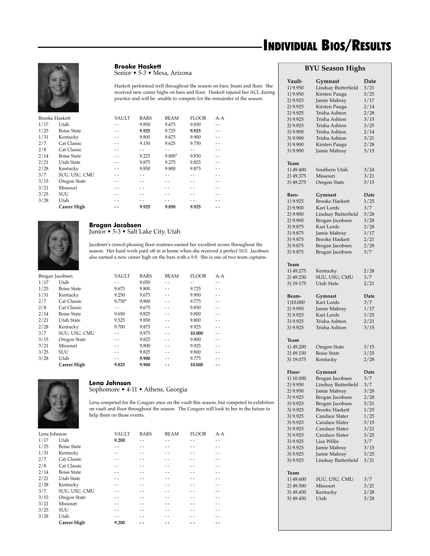

**Brooke Haskett**

Senior • 5-3 • Mesa, Arizona

Haskett performed well throughout the season on bars, beam and floor. She received new career highs on bars and floor. Haskett injured her ACL during practice and will be unable to compete for the remainder of the season.

| <b>Brooke Haskett</b> |                    | <b>VAULT</b> | <b>BARS</b> | <b>BEAM</b> | <b>FLOOR</b> | $A-A$ |
|-----------------------|--------------------|--------------|-------------|-------------|--------------|-------|
| 1/17                  | Utah               |              | 9.850       | 9.675       | 9.850        |       |
| 1/25                  | <b>Boise State</b> |              | 9.925       | 9.725       | 9.925        |       |
| 1/31                  | Kentucky           |              | 9.800       | 9.675       | 9.900        |       |
| 2/7                   | Cat Classic        |              | 9.150       | 9.625       | 9.750        |       |
| 2/8                   | Cat Classic        |              |             |             |              |       |
| 2/14                  | <b>Boise State</b> |              | 9.225       | $9.800*$    | 9.850        |       |
| 2/21                  | Utah State         | $ -$         | 9.875       | 9.275       | 9.825        |       |
| 2/28                  | Kentucky           |              | 9.850       | 9.800       | 9.875        |       |
| 3/7                   | SUU, USU, CMU      |              |             |             |              |       |
| 3/15                  | Oregon State       |              |             |             |              |       |
| 3/21                  | Missouri           |              |             |             |              |       |
| 3/25                  | <b>SUU</b>         |              |             |             |              |       |
| 3/28                  | Utah               |              |             |             |              |       |
|                       | <b>Career High</b> |              | 9.925       | 9.850       | 9.925        |       |
|                       |                    |              |             |             |              |       |



#### **Brogan Jacobsen** Junior • 5-3 • Salt Lake City, Utah

Jacobsen's crowd-pleasing floor routines earned her excellent scores throughout the season. Her hard work paid off in at home when she received a perfect 10.0. Jacobsen also earned a new career high on the bars with a 9.9. She is one of two team captains.

| Brogan Jacobsen |                    | VAULT    | <b>BARS</b> | <b>BEAM</b> | <b>FLOOR</b> | $A-A$ |
|-----------------|--------------------|----------|-------------|-------------|--------------|-------|
| 1/17            | Utah               |          | 9.050       |             |              | - -   |
| 1/25            | <b>Boise State</b> | 9.675    | 9.800       |             | 9.725        | - -   |
| 1/31            | Kentucky           | 9.250    | 9.675       |             | 9.900        |       |
| 2/7             | Cat Classic        | $9.750*$ | 9.800       |             | 9.775        |       |
| 2/8             | Cat Classic        |          | 9.675       |             | 9.850        |       |
| 2/14            | <b>Boise State</b> | 9.650    | 9.825       |             | 9.800        |       |
| 2/21            | Utah State         | 9.525    | 9.850       |             | 9.800        |       |
| 2/28            | Kentucky           | 9.700    | 9.875       |             | 9.925        | $ -$  |
| 3/7             | SUU, USU, CMU      |          | 9.875       |             | 10.000       |       |
| 3/15            | Oregon State       |          | 9.825       |             | 9.800        |       |
| 3/21            | Missouri           |          | 9.800       |             | 9.925        | - -   |
| 3/25            | <b>SUU</b>         |          | 9.825       |             | 9.800        |       |
| 3/28            | Utah               |          | 9.900       |             | 9.775        |       |
|                 | Career High        | 9.825    | 9.900       |             | 10.000       |       |



### **Lena Johnson**

Sophomore • 4-11 • Athens, Georgia

Lena competed for the Cougars once on the vault this season, but competed in exhibition on vault and floor throughout the season. The Cougars will look to her in the future to help them on those events.

| Lena Johnson |                    | VAULT | <b>BARS</b> | <b>BEAM</b> | <b>FLOOR</b> | $A-A$ |
|--------------|--------------------|-------|-------------|-------------|--------------|-------|
| 1/17         | Utah               | 9.200 |             |             |              |       |
| 1/25         | <b>Boise State</b> |       |             |             |              |       |
| 1/31         | Kentucky           |       |             |             |              |       |
| 2/7          | Cat Classic        |       |             |             |              |       |
| 2/8          | Cat Classic        |       |             |             |              |       |
| 2/14         | <b>Boise State</b> |       |             |             |              |       |
| 2/21         | Utah State         | $ -$  |             |             |              |       |
| 2/28         | Kentucky           |       |             |             |              |       |
| 3/7          | SUU, USU, CMU      |       |             |             |              |       |
| 3/15         | Oregon State       |       |             |             |              |       |
| 3/21         | Missouri           |       |             |             |              |       |
| 3/25         | <b>SUU</b>         | - -   |             |             |              |       |
| 3/28         | Utah               |       |             |             |              |       |
|              | <b>Career High</b> | 9.200 |             |             |              |       |

#### **BYU Season Highs**

| Vault-<br>1) 9.950<br>1) 9.950<br>2) 9.925<br>2) 9.925<br>2) 9.925<br>3) 9.925<br>2) 9.925<br>3) 9.900<br>3) 9.900<br>3) 9.900<br>3) 9.900  | Gymnast<br>Lindsay Butterfield<br>Kirsten Pauga<br>Jamie Mabray<br>Kirsten Pauga<br>Trisha Ashton<br>Trisha Ashton<br>Trisha Ashton<br>Trisha Ashton<br>Trisha Ashton<br>Kirsten Pauga<br>Jamie Mabray   | Date<br>3/21<br>3/25<br>1/17<br>2/14<br>2/28<br>3/15<br>3/25<br>2/14<br>3/21<br>2/28<br>3/15 |
|---------------------------------------------------------------------------------------------------------------------------------------------|----------------------------------------------------------------------------------------------------------------------------------------------------------------------------------------------------------|----------------------------------------------------------------------------------------------|
| Team<br>1) 49.400<br>2) 49.375<br>3) 49.275                                                                                                 | Southern Utah<br>Missouri<br>Oregon State                                                                                                                                                                | 3/24<br>3/21<br>3/15                                                                         |
| Bars-<br>1) 9.925<br>2) 9.900<br>2) 9.900<br>2) 9.900<br>3) 9.875<br>3) 9.875<br>3) 9.875<br>3) 9.875<br>3) 9.875                           | Gymnast<br><b>Brooke Haskett</b><br>Kari Lords<br>Lindsay Butterfield<br>Brogan Jacobsen<br>Kari Lords<br>Jamie Mabray<br><b>Brooke Haskett</b><br>Brogan Jacobsen<br>Brogan Jacobsen                    | Date<br>1/25<br>3/7<br>3/28<br>3/28<br>2/28<br>1/17<br>2/21<br>2/28<br>3/7                   |
| Team<br>1) 49.275<br>2) 49.250<br>3) 19.175                                                                                                 | Kentucky<br>SUU, USU, CMU<br>Utah State                                                                                                                                                                  | 2/28<br>3/7<br>2/21                                                                          |
| Beam-<br>1)10.000<br>2) 9.950<br>3) 9.925<br>3) 9.925<br>3) 9.925                                                                           | Gymnast<br>Kari Lords<br>Jamie Mabray<br>Kari Lords<br>Trisha Ashton<br>Trisha Ashton                                                                                                                    | Date<br>3/7<br>1/17<br>1/25<br>2/21<br>3/15                                                  |
| Team<br>1) 49.200<br>2) 49.150<br>3) 19.075                                                                                                 | Oregon State<br><b>Boise State</b><br>Kentucky                                                                                                                                                           | 3/15<br>1/25<br>2/28                                                                         |
| Floor-<br>1) 10.000<br>2) 9.950<br>2) 9.950<br>3) 9.925<br>3) 9.925<br>3) 9.925<br>3) 9.925<br>3) 9.925<br>3) 9.925<br>3) 9.925<br>3) 9.925 | Gymnast<br>Brogan Jacobsen<br>Lindsay Butterfield<br>Jamie Mabray<br>Brogan Jacobsen<br>Brogan Jacobsen<br><b>Brooke Haskett</b><br>Candace Slater<br>Candace Slater<br>Candace Slater<br>Candace Slater | Date<br>3/7<br>3/7<br>3/28<br>2/28<br>3/21<br>1/25<br>1/25<br>3/15<br>3/21<br>3/25           |
| 3) 9.925<br>3) 9.925<br>3) 9.925                                                                                                            | Lisa Willis<br>Jamie Mabray<br>Jamie Mabray<br>Lindsay Butterfield                                                                                                                                       | 3/7<br>3/15<br>3/25<br>3/21                                                                  |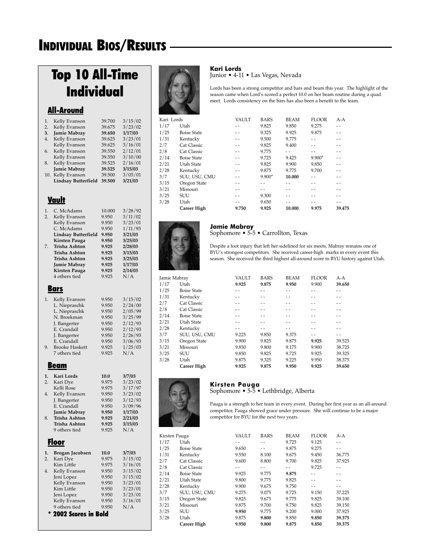## Top 10 All-Time Individual

### All-Around

| 1.  | Kelly Evanson       | 39.700 | 3/15/02 |
|-----|---------------------|--------|---------|
| 2.  | Kelly Evanson       | 39.675 | 3/23/02 |
| 3.  | Jamie Mabray        | 39.650 | 1/17/03 |
| 4.  | Kelly Evanson       | 39.625 | 3/23/01 |
|     | Kelly Evanson       | 39.625 | 3/16/01 |
| 6.  | Kelly Evanson       | 39.550 | 2/12/01 |
|     | Kelly Evanson       | 39.550 | 3/10/00 |
| 8.  | Kelly Evanson       | 39.525 | 2/16/01 |
|     | <b>Jamie Mabray</b> | 39.525 | 3/15/03 |
| 10. | Kelly Evanson       | 39.500 | 3/03/01 |
|     | Lindsay Butterfield | 39.500 | 3/21/03 |
|     |                     |        |         |
|     |                     |        |         |

### Vault

| 1.<br>$\overline{2}$ .<br>7. | C. McAdams<br>Kelly Evanson<br>Kelly Evanson<br>C. McAdams<br><b>Lindsay Butterfield</b><br><b>Kirsten Pauga</b><br>Trisha Ashton<br>Trisha Ashton<br>Trisha Ashton<br>Jamie Mabray<br><b>Kirsten Pauga</b><br>4 others tied | 10.000<br>9.950<br>9.950<br>9.950<br>9.950<br>9.950<br>9.925<br>9.925<br>9.925<br>9.925<br>9.925<br>9.925 | 3/28/92<br>3/11/02<br>3/23/01<br>1/11/93<br>3/21/03<br>3/25/03<br>2/28/03<br>3/15/03<br>3/25/03<br>1/17/03<br>2/14/03<br>N/A |
|------------------------------|------------------------------------------------------------------------------------------------------------------------------------------------------------------------------------------------------------------------------|-----------------------------------------------------------------------------------------------------------|------------------------------------------------------------------------------------------------------------------------------|
|                              | <u>Bars</u>                                                                                                                                                                                                                  |                                                                                                           |                                                                                                                              |
| 1.<br>9.                     | Kelly Evanson<br>L. Niepraschk<br>L. Niepraschk<br>N. Broekman<br>J. Bangerter<br>E. Crandall<br>J. Bangerter<br>E. Crandall<br><b>Brooke Haskett</b><br>7 others tied                                                       | 9.950<br>9.950<br>9.950<br>9.950<br>9.950<br>9.950<br>9.950<br>9.950<br>9.925<br>9.925                    | 3/15/02<br>2/24/00<br>2/05/99<br>3/25/99<br>2/12/93<br>2/12/93<br>2/26/93<br>3/06/93<br>1/25/03<br>N/A                       |
|                              | Beam                                                                                                                                                                                                                         |                                                                                                           |                                                                                                                              |
| 1.                           | Kari Lords                                                                                                                                                                                                                   | 10.0                                                                                                      | 3/7/03                                                                                                                       |
| 2.                           | Kari Dye<br>Kelli Rose                                                                                                                                                                                                       | 9.975<br>9.975                                                                                            | 3/23/02<br>3/17/97                                                                                                           |
| 4.<br>8.                     | Kelly Evanson<br>J. Bangerter<br>E. Crandall<br>Jamie Mabray<br>Trisha Ashton<br>Trisha Ashton<br>9 others tied                                                                                                              | 9.950<br>9.950<br>9.950<br>9.950<br>9.925<br>9.925<br>9.925                                               | 3/23/02<br>3/12/93<br>3/09/96<br>1/17/03<br>2/21/03<br>3/15/03<br>N/A                                                        |
|                              | <u>Floor</u>                                                                                                                                                                                                                 |                                                                                                           |                                                                                                                              |
| 1.                           | Brogan Jacobsen                                                                                                                                                                                                              | 10.0                                                                                                      | 3/7/03                                                                                                                       |
| 2.                           | Kari Dye                                                                                                                                                                                                                     | 9.975<br>9.975                                                                                            | 3/15/02                                                                                                                      |
| 4.                           | Kim Little<br>Kelly Evanson<br>Jeni Lopez<br>Kelly Evanson<br>Kim Little<br>Jeni Lopez<br>Kelly Evanson                                                                                                                      | 9.950<br>9.950<br>9.950<br>9.950<br>9.950<br>9.950                                                        | 3/16/01<br>3/15/02<br>3/15/02<br>3/23/01<br>3/23/01<br>3/23/01<br>3/16/01                                                    |
|                              | 9 others tied                                                                                                                                                                                                                | 9.950                                                                                                     | N/A                                                                                                                          |
|                              | 2002 Scores in Bold                                                                                                                                                                                                          |                                                                                                           |                                                                                                                              |



#### **Kari Lords**

Junior • 4-11 • Las Vegas, Nevada

Lords has been a strong competitor and bars and beam this year. The highlight of the season came when Lord's scored a perfect 10.0 on her beam routine during a quad meet. Lords consistency on the bars has also been a benefit to the team.

| Kari Lords |                    | <b>VAULT</b> | <b>BARS</b> | <b>BEAM</b> | <b>FLOOR</b> | $A-A$                    |
|------------|--------------------|--------------|-------------|-------------|--------------|--------------------------|
| 1/17       | Utah               |              | 9.825       | 9.850       | 9.275        | - -                      |
| 1/25       | <b>Boise State</b> | $ -$         | 9.325       | 9.925       | 9.875        |                          |
| 1/31       | Kentucky           |              | 9.500       | 9.775       |              |                          |
| 2/7        | Cat Classic        |              | 9.825       | 9.400       |              |                          |
| 2/8        | Cat Classic        |              | 9.775       |             |              |                          |
| 2/14       | <b>Boise State</b> |              | 9.725       | 9.425       | $9.900*$     |                          |
| 2/21       | Utah State         | $ -$         | 9.825       | 9.900       | 9.850        |                          |
| 2/28       | Kentucky           |              | 9.875       | 9.775       | 9.700        | $\overline{\phantom{a}}$ |
| 3/7        | SUU, USU, CMU      |              | $9.900*$    | 10.000      |              |                          |
| 3/15       | Oregon State       |              |             |             |              |                          |
| 3/21       | Missouri           |              |             |             |              |                          |
| 3/25       | <b>SUU</b>         |              | 9.300       |             |              |                          |
| 3/28       | Utah               |              | 9.650       |             |              |                          |
|            | <b>Career High</b> | 9.750        | 9.925       | 10.000      | 9.975        | 39.475                   |
|            |                    |              |             |             |              |                          |



#### **Jamie Mabray**

#### Sophomore • 5-5 • Carrollton, Texas

Despite a foot injury that left her sidelined for six meets, Mabray remains one of BYU's strongest competitors. She received career-high marks in every event this season. She received the third highest all-around score in BYU history against Utah.

| Jamie Mabray |                    | <b>VAULT</b> | <b>BARS</b> | <b>BEAM</b> | <b>FLOOR</b> | $A-A$  |
|--------------|--------------------|--------------|-------------|-------------|--------------|--------|
| 1/17         | Utah               | 9.925        | 9.875       | 9.950       | 9.900        | 39.650 |
| 1/25         | <b>Boise State</b> |              |             |             |              |        |
| 1/31         | Kentucky           |              |             |             |              |        |
| 2/7          | Cat Classic        |              |             |             |              |        |
| 2/8          | Cat Classic        |              |             |             |              |        |
| 2/14         | <b>Boise State</b> |              |             |             |              | - -    |
| 2/21         | Utah State         |              |             |             |              | $-$    |
| 2/28         | Kentucky           |              |             |             |              |        |
| 3/7          | SUU, USU, CMU      | 9.225        | 9.850       | 9.375       |              |        |
| 3/15         | Oregon State       | 9.900        | 9.825       | 9.875       | 9.925        | 39.525 |
| 3/21         | Missouri           | 9.850        | 9.800       | 9.175       | 9.900        | 38.725 |
| 3/25         | <b>SUU</b>         | 9.850        | 9.825       | 9.725       | 9.925        | 39.325 |
| 3/28         | Utah               | 9.875        | 9.325       | 9.225       | 9.950        | 38.375 |
|              | <b>Career High</b> | 9.925        | 9.875       | 9.950       | 9.925        | 39.650 |
|              |                    |              |             |             |              |        |



### **Kirsten Pauga**

Sophomore • 5-5 • Lethbridge, Alberta

Pauga is a strength to her team in every event. During her first year as an all-around competitor, Pauga showed grace under pressure. She will continue to be a major competitor for BYU for the next two years.

|      | Kirsten Pauga      | VAULT | <b>BARS</b> | <b>BEAM</b> | <b>FLOOR</b> | $A-A$  |
|------|--------------------|-------|-------------|-------------|--------------|--------|
| 1/17 | Utah               |       |             | 9.725       | 9.125        | $ -$   |
| 1/25 | <b>Boise State</b> | 9.650 | - -         | 9.875       | 9.275        | $ -$   |
| 1/31 | Kentucky           | 9.550 | 8.100       | 9.675       | 9.450        | 36.775 |
| 2/7  | Cat Classic        | 9.600 | 8.800       | 9.700       | 9.825        | 37.925 |
| 2/8  | Cat Classic        |       |             |             | 9.725        |        |
| 2/14 | <b>Boise State</b> | 9.925 | 9.775       | 9.875       |              | $ -$   |
| 2/21 | Utah State         | 9.800 | 9.775       | 9.825       | - -          | $ -$   |
| 2/28 | Kentucky           | 9.900 | 9.675       | 9.750       |              | $ -$   |
| 3/7  | SUU, USU, CMU      | 9.275 | 9.075       | 9.725       | 9.150        | 37.225 |
| 3/15 | Oregon State       | 9.825 | 9.675       | 9.775       | 9.825        | 39.100 |
| 3/21 | Missouri           | 9.875 | 9.700       | 9.750       | 9.825        | 39.150 |
| 3/25 | <b>SUU</b>         | 9.950 | 9.775       | 9.200       | 9.000        | 37.925 |
| 3/28 | Utah               | 9.875 | 9.800       | 9.850       | 9.850        | 39.375 |
|      | <b>Career High</b> | 9.950 | 9.800       | 9.875       | 9.850        | 39.375 |
|      |                    |       |             |             |              |        |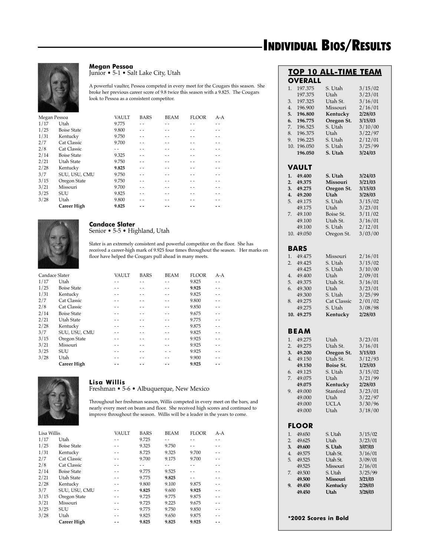

### **Megan Pessoa**

Junior • 5-1 • Salt Lake City, Utah

A powerful vaulter, Pessoa competed in every meet for the Cougars this season. She broke her previous career score of 9.8 twice this season with a 9.825. The Cougars look to Pessoa as a consistent competitor.

| Megan Pessoa |                    | <b>VAULT</b> | <b>BARS</b> | <b>BEAM</b> | <b>FLOOR</b> | $A-A$ |
|--------------|--------------------|--------------|-------------|-------------|--------------|-------|
| 1/17         | Utah               | 9.775        |             |             |              |       |
| 1/25         | <b>Boise State</b> | 9.800        |             |             |              |       |
| 1/31         | Kentucky           | 9.750        |             |             |              |       |
| 2/7          | Cat Classic        | 9.700        |             |             |              |       |
| 2/8          | Cat Classic        |              |             |             |              |       |
| 2/14         | <b>Boise State</b> | 9.325        |             |             |              |       |
| 2/21         | Utah State         | 9.750        |             |             |              |       |
| 2/28         | Kentucky           | 9.825        |             |             |              |       |
| 3/7          | SUU, USU, CMU      | 9.750        |             |             |              | $ -$  |
| 3/15         | Oregon State       | 9.750        |             |             |              |       |
| 3/21         | Missouri           | 9.700        |             |             |              |       |
| 3/25         | <b>SUU</b>         | 9.825        |             |             |              |       |
| 3/28         | Utah               | 9.800        |             |             |              |       |
|              | <b>Career High</b> | 9.825        |             |             |              |       |
|              |                    |              |             |             |              |       |



#### **Candace Slater** Senior • 5-5 • Highland, Utah

Slater is an extremely consistent and powerful competitor on the floor. She has received a career-high mark of 9.925 four times throughout the season. Her marks on floor have helped the Cougars pull ahead in many meets.

| Candace Slater |                    | <b>VAULT</b> | <b>BARS</b> | <b>BEAM</b> | <b>FLOOR</b> | $A-A$ |
|----------------|--------------------|--------------|-------------|-------------|--------------|-------|
| 1/17           | Utah               |              |             |             | 9.825        |       |
| 1/25           | <b>Boise State</b> |              |             |             | 9.925        |       |
| 1/31           | Kentucky           |              |             |             | 9.825        |       |
| 2/7            | Cat Classic        |              |             |             | 9.800        |       |
| 2/8            | Cat Classic        |              |             |             | 9.850        |       |
| 2/14           | <b>Boise State</b> |              |             |             | 9.675        | - -   |
| 2/21           | Utah State         |              |             |             | 9.775        |       |
| 2/28           | Kentucky           |              |             |             | 9.875        |       |
| 3/7            | SUU, USU, CMU      |              |             |             | 9.825        |       |
| 3/15           | Oregon State       |              |             |             | 9.925        | $-$   |
| 3/21           | Missouri           |              |             |             | 9.925        | - -   |
| 3/25           | <b>SUU</b>         |              |             |             | 9.925        |       |
| 3/28           | Utah               |              |             |             | 9.900        |       |
|                | <b>Career High</b> |              |             |             | 9.925        |       |



#### **Lisa Willis** Freshman • 5-6 • Albuquerque, New Mexico

Throughout her freshman season, Willis competed in every meet on the bars, and nearly every meet on beam and floor. She received high scores and continued to improve throughout the season. Willis will be a leader in the years to come.

| Lisa Willis |                    | <b>VAULT</b> | <b>BARS</b> | <b>BEAM</b> | <b>FLOOR</b> | $A - A$ |
|-------------|--------------------|--------------|-------------|-------------|--------------|---------|
| 1/17        | Utah               |              | 9.725       |             |              |         |
| 1/25        | <b>Boise State</b> |              | 9.325       | 9.750       |              |         |
| 1/31        | Kentucky           |              | 8.725       | 9.325       | 9.700        | - -     |
| 2/7         | Cat Classic        |              | 9.700       | 9.175       | 9.700        |         |
| 2/8         | Cat Classic        |              |             |             |              |         |
| 2/14        | <b>Boise State</b> |              | 9.775       | 9.525       |              |         |
| 2/21        | Utah State         | - -          | 9.775       | 9.825       | - -          | - -     |
| 2/28        | Kentucky           |              | 9.800       | 9.100       | 9.875        | - -     |
| 3/7         | SUU, USU, CMU      |              | 9.825       | 9.600       | 9.925        |         |
| 3/15        | Oregon State       |              | 9.725       | 9.775       | 9.875        |         |
| 3/21        | Missouri           |              | 9.725       | 9.225       | 9.675        |         |
| 3/25        | <b>SUU</b>         |              | 9.775       | 9.750       | 9.850        |         |
| 3/28        | Utah               |              | 9.825       | 9.650       | 9.875        |         |
|             | <b>Career High</b> |              | 9.825       | 9.825       | 9.925        |         |

|                      |                      | <b>TOP 10 ALL-TIME TEAM</b> |                    |
|----------------------|----------------------|-----------------------------|--------------------|
|                      | <b>OVERALL</b>       |                             |                    |
| 1.                   | 197.375              | S. Utah                     | 3/15/02            |
|                      | 197.375<br>197.325   | Utah<br>Utah St.            | 3/23/01<br>3/16/01 |
| 3.<br>4.             | 196.900              | Missouri                    | 2/16/01            |
| 5.                   | 196.800              | Kentucky                    | 2/28/03            |
| 6.                   | 196.775              | Oregon St.                  | 3/15/03            |
| 7.                   | 196.525              | S. Utah                     | 3/10/00            |
| 8.                   | 196.375              | Utah                        | 3/22/97            |
| 9.                   | 196.225              | S. Utah                     | 2/12/01            |
| 10.                  | 196.050              | S. Utah                     | 3/25/99            |
|                      | 196.050              | S. Utah                     | 3/24/03            |
|                      | VAULT                |                             |                    |
| 1.                   | 49.400               | S. Utah                     | 3/24/03            |
| 2.                   | 49.375               | Missouri                    | 3/21/03            |
| 3.                   | 49.275               | Oregon St.                  | 3/15/03            |
| 4.                   | 49.200               | Utah                        | 3/28/03            |
| 5.                   | 49.175               | S. Utah                     | 3/15/02            |
|                      | 49.175               | Utah                        | 3/23/01            |
| 7.                   | 49.100               | Boise St.                   | 3/11/02            |
|                      | 49.100               | Utah St.                    | 3/16/01            |
|                      | 49.100               | S. Utah                     | 2/12/01            |
| 10.                  | 49.050               | Oregon St.                  | 3/03/00            |
|                      | BARS                 |                             |                    |
| 1.                   | 49.475               | Missouri                    | 2/16/01            |
| 2.                   | 49.425               | S. Utah                     | 3/15/02            |
|                      | 49.425               | S. Utah                     | 3/10/00            |
| 4.                   | 49.400               | Utah                        | 2/09/01            |
| 5.                   | 49.375               | Utah St.                    | 3/16/01            |
| 6.                   | 49.300               | Utah                        | 3/23/01            |
|                      | 49.300               | S. Utah                     | 3/25/99            |
| 8.                   | 49.275               | <b>Cat Classic</b>          | 2/01/02            |
|                      | 49.275               | S. Utah                     | 3/08/98            |
|                      | 10. 49.275           | Kentucky                    | 2/28/03            |
|                      | <b>BEAM</b>          |                             |                    |
|                      |                      |                             |                    |
| 1.                   | 49.275<br>49.275     | Utah                        | 3/23/01<br>3/16/01 |
| 2.<br>3.             | 49.200               | Utah St.<br>Oregon St.      | 3/15/03            |
| 4.                   | 49.150               | Utah St.                    | 3/12/93            |
|                      | 49.150               | <b>Boise St.</b>            | 1/25/03            |
| 6.                   | 49.125               | S. Utah                     | 3/15/02            |
| 7.                   | 49.075               | Utah                        | 3/21/99            |
|                      | 49.075               | Kentucky                    | 2/28/03            |
| 9.                   | 49.000               | Stanford                    | 3/23/01            |
|                      | 49.000               | Utah                        | 3/22/97            |
|                      | 49.000               | <b>UCLA</b>                 | 3/30/96            |
|                      | 49.000               | Utah                        | 3/18/00            |
|                      | FLOOR                |                             |                    |
|                      |                      |                             |                    |
| 1.<br>$\overline{2}$ | 49.650<br>49.625     | S. Utah<br>Utah             | 3/15/02<br>3/23/01 |
| 3.                   |                      | S. Utah                     | 3/07/03            |
| 4.                   | 49.600<br>49.575     | Utah St.                    | 3/16/01            |
| 5.                   | 49.525               | Utah St.                    | 3/09/01            |
|                      | 49.525               | Missouri                    | 2/16/01            |
| 7.                   | 49.500               | S. Utah                     | 3/25/99            |
|                      | 49.500               | Missouri                    | 3/21/03            |
| 9.                   | 49.450               | Kentucky                    | 2/28/03            |
|                      | 49.450               | Utah                        | 3/28/03            |
|                      |                      |                             |                    |
|                      | *2002 Scores in Bold |                             |                    |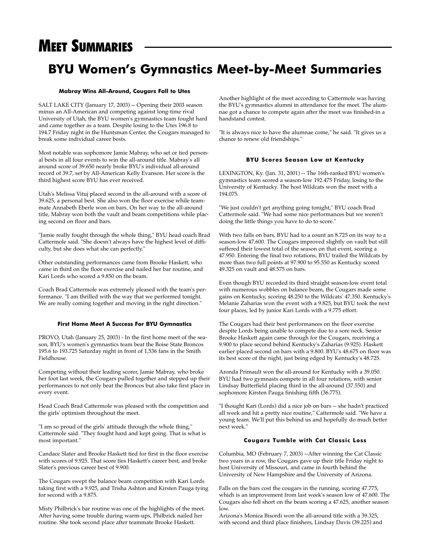## **BYU Women's Gymnastics Meet-by-Meet Summaries**

#### **Mabray Wins All-Around, Cougars Fall to Utes**

SALT LAKE CITY (January 17, 2003) -- Opening their 2003 season minus an All-American and competing against long-time rival University of Utah, the BYU women's gymnastics team fought hard and came together as a team. Despite losing to the Utes 196.8 to 194.7 Friday night in the Huntsman Center, the Cougars managed to break some individual career bests.

Most notable was sophomore Jamie Mabray, who set or tied personal bests in all four events to win the all-around title. Mabray's all around score of 39.650 nearly broke BYU's individual all-around record of 39.7, set by All-American Kelly Evanson. Her score is the third highest score BYU has ever received.

Utah's Melissa Vituj placed second in the all-around with a score of 39.625, a personal best. She also won the floor exercise while teammate Annabeth Eberle won on bars. On her way to the all-around title, Mabray won both the vault and beam competitions while placing second on floor and bars.

"Jamie really fought through the whole thing," BYU head coach Brad Cattermole said. "She doesn't always have the highest level of difficulty, but she does what she can perfectly."

Other outstanding performances came from Brooke Haskett, who came in third on the floor exercise and nailed her bar routine, and Kari Lords who scored a 9.850 on the beam.

Coach Brad Cattermole was extremely pleased with the team's performance. "I am thrilled with the way that we performed tonight. We are really coming together and moving in the right direction."

#### **First Home Meet A Success For BYU Gymnastics**

PROVO, Utah (January 25, 2003) - In the first home meet of the season, BYU's women's gymnastics team beat the Boise State Broncos 195.6 to 193.725 Saturday night in front of 1,536 fans in the Smith Fieldhouse.

Competing without their leading scorer, Jamie Mabray, who broke her foot last week, the Cougars pulled together and stepped up their performances to not only beat the Broncos but also take first place in every event.

Head Coach Brad Cattermole was pleased with the competition and the girls' optimism throughout the meet.

"I am so proud of the girls' attitude through the whole thing," Cattermole said. "They fought hard and kept going. That is what is most important."

Candace Slater and Brooke Haskett tied for first in the floor exercise with scores of 9.925. That score ties Haskett's career best, and broke Slater's previous career best of 9.900.

The Cougars swept the balance beam competition with Kari Lords taking first with a 9.925, and Trisha Ashton and Kirsten Pauga tying for second with a 9.875.

Misty Philbrick's bar routine was one of the highlights of the meet. After having some trouble during warm-ups, Philbrick nailed her routine. She took second place after teammate Brooke Haskett.

Another highlight of the meet according to Cattermole was having the BYU's gymnastics alumni in attendance for the meet. The alumnae got a chance to compete again after the meet was finished-in a handstand contest.

"It is always nice to have the alumnae come," he said. "It gives us a chance to renew old friendships."

#### **BYU Scores Season Low at Kentucky**

LEXINGTON, Ky. (Jan. 31, 2001) -- The 16th-ranked BYU women's gymnastics team scored a season-low 192.475 Friday, losing to the University of Kentucky. The host Wildcats won the meet with a 194.075.

"We just couldn't get anything going tonight," BYU coach Brad Cattermole said. "We had some nice performances but we weren't doing the little things you have to do to score."

With two falls on bars, BYU had to a count an 8.725 on its way to a season-low 47.600. The Cougars improved slightly on vault but still suffered their lowest total of the season on that event, scoring a 47.950. Entering the final two rotations, BYU trailed the Wildcats by more than two full points at 97.900 to 95.550 as Kentucky scored 49.325 on vault and 48.575 on bars.

Even though BYU recorded its third straight season-low event total with numerous wobbles on balance beam, the Cougars made some gains on Kentucky, scoring 48.250 to the Wildcats' 47.350. Kentucky's Melanie Zaharias won the event with a 9.825, but BYU took the next four places, led by junior Kari Lords with a 9.775 effort.

The Cougars had their best performances on the floor exercise despite Lords being unable to compete due to a sore neck. Senior Brooke Haskett again came through for the Cougars, receiving a 9.900 to place second behind Kentucky's Zaharias (9.925). Haskett earlier placed second on bars with a 9.800. BYU's 48.675 on floor was its best score of the night, just being edged by Kentucky's 48.725.

Aronda Primault won the all-around for Kentucky with a 39.050. BYU had two gymnasts compete in all four rotations, with senior Lindsay Butterfield placing third in the all-around (37.550) and sophomore Kirsten Pauga finishing fifth (36.775).

"I thought Kari (Lords) did a nice job on bars -- she hadn't practiced all week and hit a pretty nice routine," Cattermole said. "We have a young team. We'll put this behind us and hopefully do much better next week."

#### **Cougars Tumble with Cat Classic Loss**

Columbia, MO (February 7, 2003) --After winning the Cat Classic two years in a row, the Cougars gave up their title Friday night to host University of Missouri, and came in fourth behind the University of New Hampshire and the University of Arizona.

Falls on the bars cost the cougars in the running, scoring 47.775, which is an improvement from last week's season low of 47.600. The Cougars also fell short on the beam scoring a 47.625, another season low.

Arizona's Monica Bisordi won the all-around title with a 39.325, with second and third place finishers, Lindsay Davis (39.225) and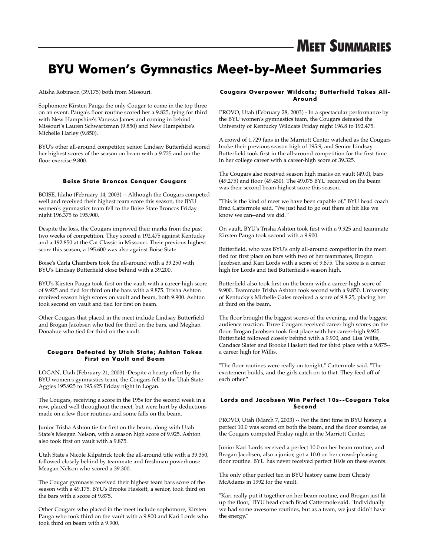## **BYU Women's Gymnastics Meet-by-Meet Summaries**

Alisha Robinson (39.175) both from Missouri.

Sophomore Kirsten Pauga the only Cougar to come in the top three on an event. Pauga's floor routine scored her a 9.825, tying for third with New Hampshire's Vanessa James and coming in behind Missouri's Lauren Schwartzman (9.850) and New Hampshire's Michelle Harley (9.850).

BYU's other all-around competitor, senior Lindsay Butterfield scored her highest scores of the season on beam with a 9.725 and on the floor exercise 9.800.

#### **Boise State Broncos Conquer Cougars**

BOISE, Idaho (February 14, 2003) -- Although the Cougars competed well and received their highest team score this season, the BYU women's gymnastics team fell to the Boise State Broncos Friday night 196.375 to 195.900.

Despite the loss, the Cougars improved their marks from the past two weeks of competition. They scored a 192.475 against Kentucky and a 192.850 at the Cat Classic in Missouri. Their previous highest score this season, a 195.600 was also against Boise State.

Boise's Carla Chambers took the all-around with a 39.250 with BYU's Lindsay Butterfield close behind with a 39.200.

BYU's Kirsten Pauga took first on the vault with a career-high score of 9.925 and tied for third on the bars with a 9.875. Trisha Ashton received season high scores on vault and beam, both 9.900. Ashton took second on vault and tied for first on beam.

Other Cougars that placed in the meet include Lindsay Butterfield and Brogan Jacobsen who tied for third on the bars, and Meghan Donahue who tied for third on the vault.

#### **Cougars Defeated by Utah State; Ashton Takes First on Vault and Beam**

LOGAN, Utah (February 21, 2003) -Despite a hearty effort by the BYU women's gymnastics team, the Cougars fell to the Utah State Aggies 195.925 to 195.625 Friday night in Logan.

The Cougars, receiving a score in the 195s for the second week in a row, placed well throughout the meet, but were hurt by deductions made on a few floor routines and some falls on the beam.

Junior Trisha Ashton tie for first on the beam, along with Utah State's Meagan Nelson, with a season high score of 9.925. Ashton also took first on vault with a 9.875.

Utah State's Nicole Kilpatrick took the all-around title with a 39.350, followed closely behind by teammate and freshman powerhouse Meagan Nelson who scored a 39.300.

The Cougar gymnasts received their highest team bars score of the season with a 49.175. BYU's Brooke Haskett, a senior, took third on the bars with a score of 9.875.

Other Cougars who placed in the meet include sophomore, Kirsten Pauga who took third on the vault with a 9.800 and Kari Lords who took third on beam with a 9.900.

#### **Cougars Overpower Wildcats; Butterfield Takes All-Around**

PROVO, Utah (February 28, 2003) - In a spectacular performance by the BYU women's gymnastics team, the Cougars defeated the University of Kentucky Wildcats Friday night 196.8 to 192.475.

A crowd of 1,729 fans in the Marriott Center watched as the Cougars broke their previous season high of 195.9, and Senior Lindsay Butterfield took first in the all-around competition for the first time in her college career with a career-high score of 39.325.

The Cougars also received season high marks on vault (49.0), bars (49.275) and floor (49.450). The 49.075 BYU received on the beam was their second beam highest score this season.

"This is the kind of meet we have been capable of," BYU head coach Brad Cattermole said. "We just had to go out there at hit like we know we can--and we did.

On vault, BYU's Trisha Ashton took first with a 9.925 and teammate Kirsten Pauga took second with a 9.900.

Butterfield, who was BYU's only all-around competitor in the meet tied for first place on bars with two of her teammates, Brogan Jacobsen and Kari Lords with a score of 9.875. The score is a career high for Lords and tied Butterfield's season high.

Butterfield also took first on the beam with a career high score of 9.900. Teammate Trisha Ashton took second with a 9.850. University of Kentucky's Michelle Gales received a score of 9.8.25, placing her at third on the beam.

The floor brought the biggest scores of the evening, and the biggest audience reaction. Three Cougars received career high scores on the floor. Brogan Jacobsen took first place with her career-high 9.925. Butterfield followed closely behind with a 9.900, and Lisa Willis, Candace Slater and Brooke Haskett tied for third place with a 9.875- a career high for Willis.

"The floor routines were really on tonight," Cattermole said. "The excitement builds, and the girls catch on to that. They feed off of each other."

#### **Lords and Jacobsen Win Perfect 10s--Cougars Take Second**

PROVO, Utah (March 7, 2003) -- For the first time in BYU history, a perfect 10.0 was scored on both the beam, and the floor exercise, as the Cougars competed Friday night in the Marriott Center.

Junior Kari Lords received a perfect 10.0 on her beam routine, and Brogan Jacobsen, also a junior, got a 10.0 on her crowd-pleasing floor routine. BYU has never received perfect 10.0s on these events.

The only other perfect ten in BYU history came from Christy McAdams in 1992 for the vault.

"Kari really put it together on her beam routine, and Brogan just lit up the floor," BYU head coach Brad Cattermole said. "Individually we had some awesome routines, but as a team, we just didn't have the energy."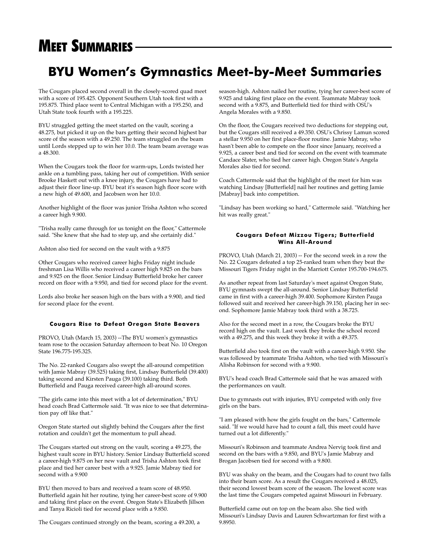## **BYU Women's Gymnastics Meet-by-Meet Summaries**

The Cougars placed second overall in the closely-scored quad meet with a score of 195.425. Opponent Southern Utah took first with a 195.875. Third place went to Central Michigan with a 195.250, and Utah State took fourth with a 195.225.

BYU struggled getting the meet started on the vault, scoring a 48.275, but picked it up on the bars getting their second highest bar score of the season with a 49.250. The team struggled on the beam until Lords stepped up to win her 10.0. The team beam average was a 48.300.

When the Cougars took the floor for warm-ups, Lords twisted her ankle on a tumbling pass, taking her out of competition. With senior Brooke Haskett out with a knee injury, the Cougars have had to adjust their floor line-up. BYU beat it's season high floor score with a new high of 49.600, and Jacobsen won her 10.0.

Another highlight of the floor was junior Trisha Ashton who scored a career high 9.900.

"Trisha really came through for us tonight on the floor," Cattermole said. "She knew that she had to step up, and she certainly did."

Ashton also tied for second on the vault with a 9.875

Other Cougars who received career highs Friday night include freshman Lisa Willis who received a career high 9.825 on the bars and 9.925 on the floor. Senior Lindsay Butterfield broke her career record on floor with a 9.950, and tied for second place for the event.

Lords also broke her season high on the bars with a 9.900, and tied for second place for the event.

#### **Cougars Rise to Defeat Oregon State Beavers**

PROVO, Utah (March 15, 2003) --The BYU women's gymnastics team rose to the occasion Saturday afternoon to beat No. 10 Oregon State 196.775-195.325.

The No. 22-ranked Cougars also swept the all-around competition with Jamie Mabray (39.525) taking first, Lindsay Butterfield (39.400) taking second and Kirsten Pauga (39.100) taking third. Both Butterfield and Pauga received career-high all-around scores.

"The girls came into this meet with a lot of determination," BYU head coach Brad Cattermole said. "It was nice to see that determination pay off like that."

Oregon State started out slightly behind the Cougars after the first rotation and couldn't get the momentum to pull ahead.

The Cougars started out strong on the vault, scoring a 49.275, the highest vault score in BYU history. Senior Lindsay Butterfield scored a career-high 9.875 on her new vault and Trisha Ashton took first place and tied her career best with a 9.925. Jamie Mabray tied for second with a 9.900

BYU then moved to bars and received a team score of 48.950. Butterfield again hit her routine, tying her career-best score of 9.900 and taking first place on the event. Oregon State's Elizabeth Jillson and Tanya Ricioli tied for second place with a 9.850.

The Cougars continued strongly on the beam, scoring a 49.200, a

season-high. Ashton nailed her routine, tying her career-best score of 9.925 and taking first place on the event. Teammate Mabray took second with a 9.875, and Butterfield tied for third with OSU's Angela Morales with a 9.850.

On the floor, the Cougars received two deductions for stepping out, but the Cougars still received a 49.350. OSU's Chrissy Lamun scored a stellar 9.950 on her first place-floor routine. Jamie Mabray, who hasn't been able to compete on the floor since January, received a 9.925, a career best and tied for second on the event with teammate Candace Slater, who tied her career high. Oregon State's Angela Morales also tied for second.

Coach Cattermole said that the highlight of the meet for him was watching Lindsay [Butterfield] nail her routines and getting Jamie [Mabray] back into competition.

"Lindsay has been working so hard," Cattermole said. "Watching her hit was really great."

#### **Cougars Defeat Mizzou Tigers; Butterfield Wins All-Around**

PROVO, Utah (March 21, 2003) -- For the second week in a row the No. 22 Cougars defeated a top 25-ranked team when they beat the Missouri Tigers Friday night in the Marriott Center 195.700-194.675.

As another repeat from last Saturday's meet against Oregon State, BYU gymnasts swept the all-around. Senior Lindsay Butterfield came in first with a career-high 39.400. Sophomore Kirsten Pauga followed suit and received her career-high 39.150, placing her in second. Sophomore Jamie Mabray took third with a 38.725.

Also for the second meet in a row, the Cougars broke the BYU record high on the vault. Last week they broke the school record with a 49.275, and this week they broke it with a 49.375.

Butterfield also took first on the vault with a career-high 9.950. She was followed by teammate Trisha Ashton, who tied with Missouri's Alisha Robinson for second with a 9.900.

BYU's head coach Brad Cattermole said that he was amazed with the performances on vault.

Due to gymnasts out with injuries, BYU competed with only five girls on the bars.

"I am pleased with how the girls fought on the bars," Cattermole said. "If we would have had to count a fall, this meet could have turned out a lot differently."

Missouri's Robinson and teammate Andrea Nervig took first and second on the bars with a 9.850, and BYU's Jamie Mabray and Brogan Jacobsen tied for second with a 9.800.

BYU was shaky on the beam, and the Cougars had to count two falls into their beam score. As a result the Cougars received a 48.025, their second lowest beam score of the season. The lowest score was the last time the Cougars competed against Missouri in February.

Butterfield came out on top on the beam also. She tied with Missouri's Lindsay Davis and Lauren Schwartzman for first with a 9.8950.